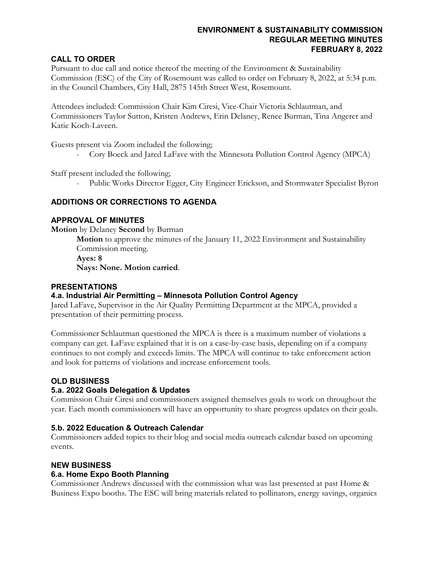### **ENVIRONMENT & SUSTAINABILITY COMMISSION REGULAR MEETING MINUTES FEBRUARY 8, 2022**

## **CALL TO ORDER**

Pursuant to due call and notice thereof the meeting of the Environment & Sustainability Commission (ESC) of the City of Rosemount was called to order on February 8, 2022, at 5:34 p.m. in the Council Chambers, City Hall, 2875 145th Street West, Rosemount.

Attendees included: Commission Chair Kim Ciresi, Vice-Chair Victoria Schlautman, and Commissioners Taylor Sutton, Kristen Andrews, Erin Delaney, Renee Burman, Tina Angerer and Katie Koch-Laveen.

Guests present via Zoom included the following;

- Cory Boeck and Jared LaFave with the Minnesota Pollution Control Agency (MPCA)

Staff present included the following;

Public Works Director Egger, City Engineer Erickson, and Stormwater Specialist Byron

## **ADDITIONS OR CORRECTIONS TO AGENDA**

### **APPROVAL OF MINUTES**

**Motion** by Delaney **Second** by Burman

**Motion** to approve the minutes of the January 11, 2022 Environment and Sustainability Commission meeting.

**Ayes: 8**

**Nays: None. Motion carried**.

### **PRESENTATIONS**

### **4.a. Industrial Air Permitting – Minnesota Pollution Control Agency**

Jared LaFave, Supervisor in the Air Quality Permitting Department at the MPCA, provided a presentation of their permitting process.

Commissioner Schlautman questioned the MPCA is there is a maximum number of violations a company can get. LaFave explained that it is on a case-by-case basis, depending on if a company continues to not comply and exceeds limits. The MPCA will continue to take enforcement action and look for patterns of violations and increase enforcement tools.

### **OLD BUSINESS**

### **5.a. 2022 Goals Delegation & Updates**

Commission Chair Ciresi and commissioners assigned themselves goals to work on throughout the year. Each month commissioners will have an opportunity to share progress updates on their goals.

### **5.b. 2022 Education & Outreach Calendar**

Commissioners added topics to their blog and social media outreach calendar based on upcoming events.

# **NEW BUSINESS**

### **6.a. Home Expo Booth Planning**

Commissioner Andrews discussed with the commission what was last presented at past Home & Business Expo booths. The ESC will bring materials related to pollinators, energy savings, organics